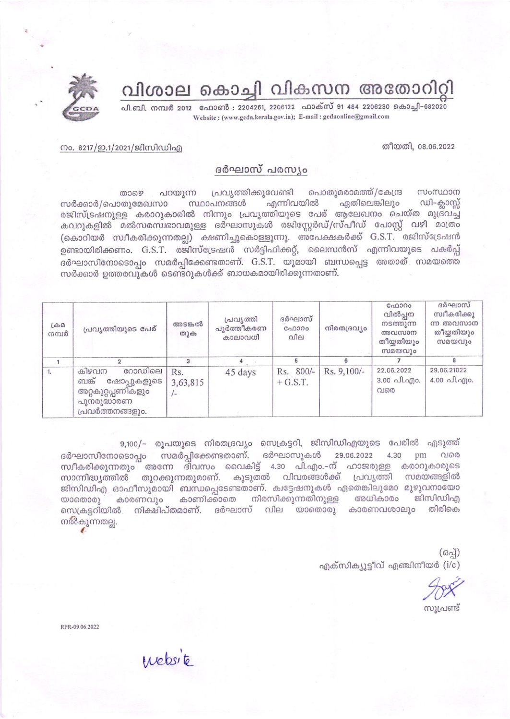വിശാല കൊച്ചി വികസന അതോറിറി

പി.ബി. നമ്പർ 2012 - ഫോൺ : 2204261, 2206122 - ഫാക്സ് 91 484 2206230 കൊച്ചി-682020 Website: (www.gcda.kerala.gov.in); E-mail: gcdaonline@gmail.com



## നം. 8217/ഇ.1/2021/ജിസിഡിഎ

## ദർഘാസ് പരസ്യം

പ്രവ്യത്തിക്കുവേണ്ടി പൊതുമരാമത്ത്/കേന്ദ്ര സംസ്ഥാന പറയുന്ന താഴെ സ്ഥാപനങ്ങൾ എന്നിവയിൽ ഏതിലെങ്കിലും ഡി–ക്ലാസ്സ് സർക്കാർ/പൊതുമേഖസാ രജിസ്ട്രഷനുള്ള കരാറുകാരിൽ നിന്നും പ്രവൃത്തിയുടെ പേര് ആലേഖനം ചെയ്ത മുദ്രവച്ച കവറുകളിൽ മൽസരസ്വഭാവമുള്ള ദർഘാസുകൾ രജിസ്റ്റേർഡ്/സ്പീഡ് പോസ്റ്റ് വഴി മാത്രം (കൊറിയർ സ്ഥീകരിക്കുന്നതല്ല) ക്ഷണിച്ചുകൊള്ളുന്നു. അപേക്ഷകർക്ക് G.S.T. രജിസ്ട്രേഷൻ ഉണ്ടായിരിക്കണം. G.S.T. രജിസ്ട്രേഷൻ സർട്ടിഫിക്കറ്റ്, ലൈസൻസ് എന്നിവയുടെ പകർപ്പ് ദർഘാസിനോടൊപ്പം സമർപ്പിക്കേണ്ടതാണ്. G.S.T. യുമായി ബന്ധപ്പെട്ട അതാത് സമയത്തെ സർക്കാർ ഉത്തരവുകൾ ടെണ്ടറുകൾക്ക് ബാധകമായിരിക്കുന്നതാണ്.

| $L \oplus \Omega$<br>നമ്പർ | പ്രവൃത്തിയുടെ പേര്                                                                               | അടങ്കൽ<br>തുക   | പ്രവ്യത്തി<br>പൂർത്തീകരണ<br>കാലാവധി | ദർഘാസ്<br>ഫോറം<br>വില   | നിരതദ്രവ്യം | GAD300<br>വിൽപ്പന<br>നടത്തുന്ന<br>അവസാന<br>തീയ്യതിയും<br>സമയവും | ദർഘാസ്<br>സ്വീകരിക്കു<br>ന്ന അവസാന<br>തീയ്യതിയും<br>സമയവും |
|----------------------------|--------------------------------------------------------------------------------------------------|-----------------|-------------------------------------|-------------------------|-------------|-----------------------------------------------------------------|------------------------------------------------------------|
|                            |                                                                                                  |                 |                                     |                         |             |                                                                 | 8                                                          |
| 1.                         | റോഡിലെ<br>കിഴവന<br>ബങ്ക്<br>ഷോപ്പുകളുടെ<br>അറ്റകുറ്റപ്പണികളും<br>പുനരുദ്ധാരണ<br>പ്രവർത്തനങ്ങളും. | Rs.<br>3,63,815 | 45 days                             | Rs. 800/-<br>$+$ G.S.T. | Rs. 9,100/- | 22.06.2022<br>3.00 പി.എം.<br>വരെ                                | 29.06.21022<br>$4.00 \n  n$ $n$ $n$ $n$ $n$                |

9,100/– രൂപയുടെ നിരതദ്രവ്യം സെക്രട്ടറി, ജിസിഡിഎയുടെ പേരിൽ എടുത്ത് ദർഘാസിനോടൊപ്പം സമർപ്പിക്കേണ്ടതാണ്. ദർഘാസുകൾ 29.06.2022 4.30 pm വരെ സ്ഥീകരിക്കുന്നതും അന്നേ ദിവസം വൈകിട്ട് 4.30 പി.എം.–ന് ഹാജരുള്ള കരാറുകാരുടെ സാന്നിദ്ധ്യത്തിൽ തുറക്കുന്നതുമാണ്. കൂടുതൽ വിവരങ്ങൾക്ക് പ്രവൃത്തി സമയങ്ങളിൽ ജിസിഡിഎ ഓഫീസുമായി ബന്ധപ്പെടേണ്ടതാണ്. ക്വട്ടേഷനുകൾ ഏതെങ്കിലുമോ മുഴുവനായോ കാണിക്കാതെ നിരസിക്കുന്നതിനുള്ള അധികാരം ജിസിഡിഎ  $\omega$ onooo) കാരണവും നിക്ഷിപ്തമാണ്. ദർഘാസ് വില യാതൊരു കാരണവശാലും തിരികെ സെക്രട്ടറിയിൽ നൽകുന്നതല്ല.

> $(632)$ എക്സിക്യൂട്ടീവ് എഞ്ചിനീയർ (i/c)

തീയതി, 08.06.2022

സൂപ്രണ്ട്

RPR-09.06.2022

enebsite